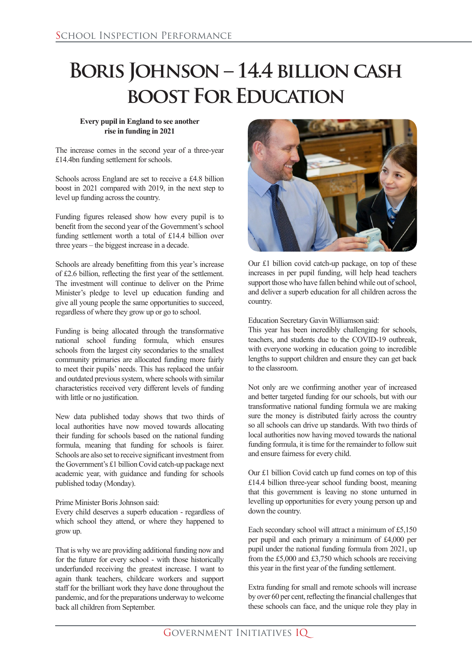## **Boris Johnson – 14.4 billion cash boost For Education**

## **Every pupil in England to see another rise in funding in 2021**

The increase comes in the second year of a three-year £14.4bn funding settlement for schools.

Schools across England are set to receive a £4.8 billion boost in 2021 compared with 2019, in the next step to level up funding across the country.

Funding figures released show how every pupil is to benefit from the second year of the Government's school funding settlement worth a total of £14.4 billion over three years – the biggest increase in a decade.

Schools are already benefitting from this year's increase of £2.6 billion, reflecting the first year of the settlement. The investment will continue to deliver on the Prime Minister's pledge to level up education funding and give all young people the same opportunities to succeed, regardless of where they grow up or go to school.

Funding is being allocated through the transformative national school funding formula, which ensures schools from the largest city secondaries to the smallest community primaries are allocated funding more fairly to meet their pupils' needs. This has replaced the unfair and outdated previous system, where schools with similar characteristics received very different levels of funding with little or no justification.

New data published today shows that two thirds of local authorities have now moved towards allocating their funding for schools based on the national funding formula, meaning that funding for schools is fairer. Schools are also set to receive significant investment from the Government's £1 billion Covid catch-up package next academic year, with guidance and funding for schools published today (Monday).

## Prime Minister Boris Johnson said:

Every child deserves a superb education - regardless of which school they attend, or where they happened to grow up.

That is why we are providing additional funding now and for the future for every school - with those historically underfunded receiving the greatest increase. I want to again thank teachers, childcare workers and support staff for the brilliant work they have done throughout the pandemic, and for the preparations underway to welcome back all children from September.



Our £1 billion covid catch-up package, on top of these increases in per pupil funding, will help head teachers support those who have fallen behind while out of school, and deliver a superb education for all children across the country.

Education Secretary Gavin Williamson said:

This year has been incredibly challenging for schools, teachers, and students due to the COVID-19 outbreak, with everyone working in education going to incredible lengths to support children and ensure they can get back to the classroom.

Not only are we confirming another year of increased and better targeted funding for our schools, but with our transformative national funding formula we are making sure the money is distributed fairly across the country so all schools can drive up standards. With two thirds of local authorities now having moved towards the national funding formula, it is time for the remainder to follow suit and ensure fairness for every child.

Our £1 billion Covid catch up fund comes on top of this £14.4 billion three-year school funding boost, meaning that this government is leaving no stone unturned in levelling up opportunities for every young person up and down the country.

Each secondary school will attract a minimum of £5,150 per pupil and each primary a minimum of £4,000 per pupil under the national funding formula from 2021, up from the £5,000 and £3,750 which schools are receiving this year in the first year of the funding settlement.

Extra funding for small and remote schools will increase by over 60 per cent, reflecting the financial challenges that these schools can face, and the unique role they play in